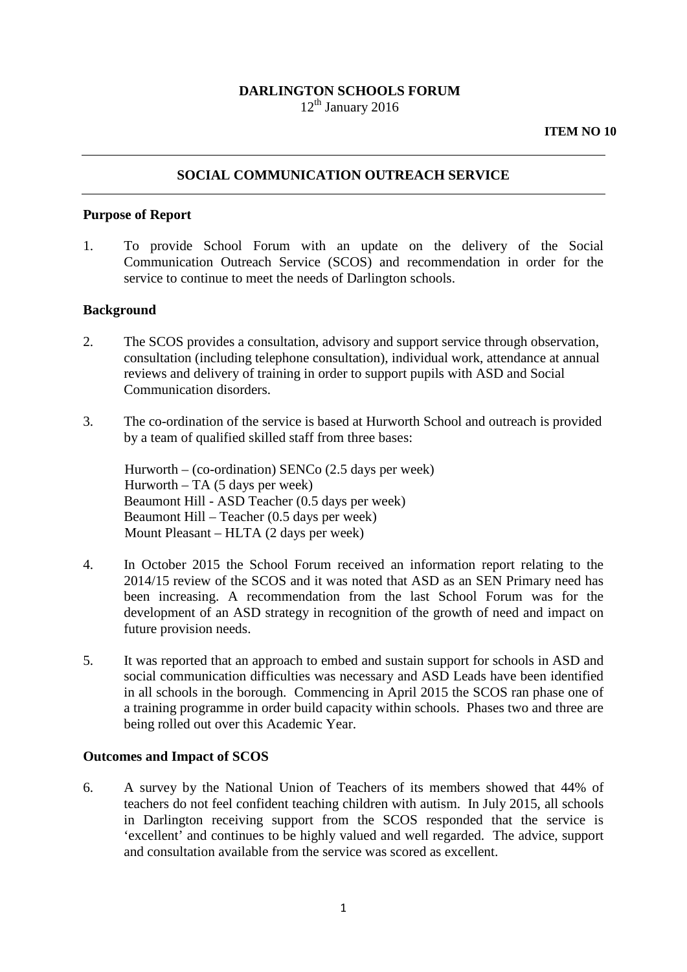## **DARLINGTON SCHOOLS FORUM**  $12<sup>th</sup>$  January 2016

#### **ITEM NO 10**

## **SOCIAL COMMUNICATION OUTREACH SERVICE**

#### **Purpose of Report**

1. To provide School Forum with an update on the delivery of the Social Communication Outreach Service (SCOS) and recommendation in order for the service to continue to meet the needs of Darlington schools.

### **Background**

- 2. The SCOS provides a consultation, advisory and support service through observation, consultation (including telephone consultation), individual work, attendance at annual reviews and delivery of training in order to support pupils with ASD and Social Communication disorders.
- 3. The co-ordination of the service is based at Hurworth School and outreach is provided by a team of qualified skilled staff from three bases:

Hurworth – (co-ordination) SENCo (2.5 days per week)  $Hurworth - TA (5 days per week)$ Beaumont Hill - ASD Teacher (0.5 days per week) Beaumont Hill – Teacher (0.5 days per week) Mount Pleasant – HLTA (2 days per week)

- 4. In October 2015 the School Forum received an information report relating to the 2014/15 review of the SCOS and it was noted that ASD as an SEN Primary need has been increasing. A recommendation from the last School Forum was for the development of an ASD strategy in recognition of the growth of need and impact on future provision needs.
- 5. It was reported that an approach to embed and sustain support for schools in ASD and social communication difficulties was necessary and ASD Leads have been identified in all schools in the borough. Commencing in April 2015 the SCOS ran phase one of a training programme in order build capacity within schools. Phases two and three are being rolled out over this Academic Year.

#### **Outcomes and Impact of SCOS**

6. A survey by the National Union of Teachers of its members showed that 44% of teachers do not feel confident teaching children with autism. In July 2015, all schools in Darlington receiving support from the SCOS responded that the service is 'excellent' and continues to be highly valued and well regarded. The advice, support and consultation available from the service was scored as excellent.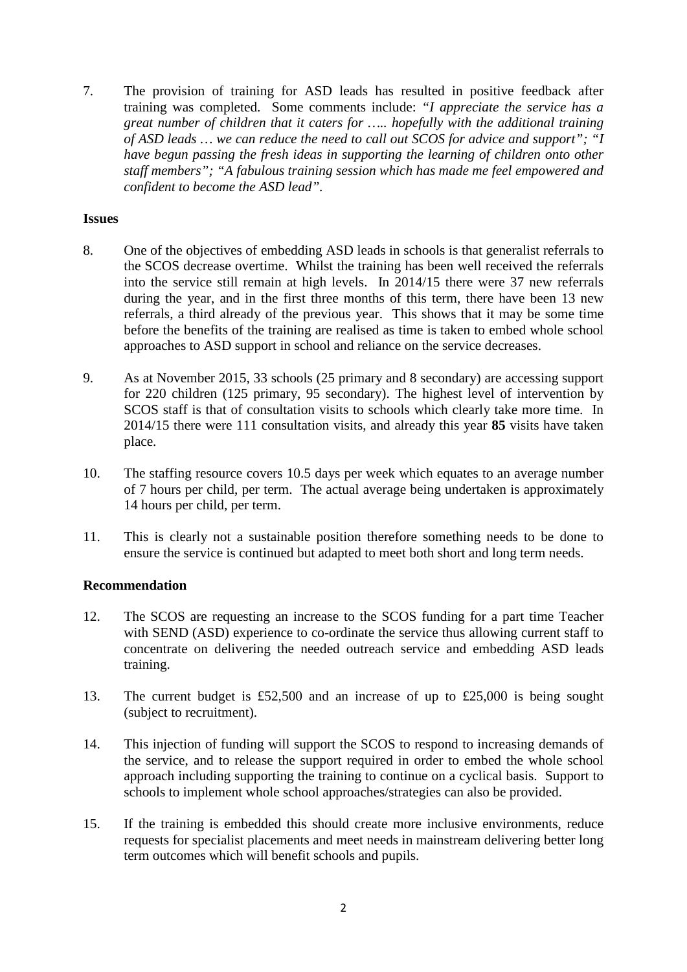7. The provision of training for ASD leads has resulted in positive feedback after training was completed. Some comments include: *"I appreciate the service has a great number of children that it caters for ….. hopefully with the additional training of ASD leads … we can reduce the need to call out SCOS for advice and support"; "I have begun passing the fresh ideas in supporting the learning of children onto other staff members"; "A fabulous training session which has made me feel empowered and confident to become the ASD lead".*

## **Issues**

- 8. One of the objectives of embedding ASD leads in schools is that generalist referrals to the SCOS decrease overtime. Whilst the training has been well received the referrals into the service still remain at high levels. In 2014/15 there were 37 new referrals during the year, and in the first three months of this term, there have been 13 new referrals, a third already of the previous year. This shows that it may be some time before the benefits of the training are realised as time is taken to embed whole school approaches to ASD support in school and reliance on the service decreases.
- 9. As at November 2015, 33 schools (25 primary and 8 secondary) are accessing support for 220 children (125 primary, 95 secondary). The highest level of intervention by SCOS staff is that of consultation visits to schools which clearly take more time. In 2014/15 there were 111 consultation visits, and already this year **85** visits have taken place.
- 10. The staffing resource covers 10.5 days per week which equates to an average number of 7 hours per child, per term. The actual average being undertaken is approximately 14 hours per child, per term.
- 11. This is clearly not a sustainable position therefore something needs to be done to ensure the service is continued but adapted to meet both short and long term needs.

# **Recommendation**

- 12. The SCOS are requesting an increase to the SCOS funding for a part time Teacher with SEND (ASD) experience to co-ordinate the service thus allowing current staff to concentrate on delivering the needed outreach service and embedding ASD leads training.
- 13. The current budget is £52,500 and an increase of up to £25,000 is being sought (subject to recruitment).
- 14. This injection of funding will support the SCOS to respond to increasing demands of the service, and to release the support required in order to embed the whole school approach including supporting the training to continue on a cyclical basis. Support to schools to implement whole school approaches/strategies can also be provided.
- 15. If the training is embedded this should create more inclusive environments, reduce requests for specialist placements and meet needs in mainstream delivering better long term outcomes which will benefit schools and pupils.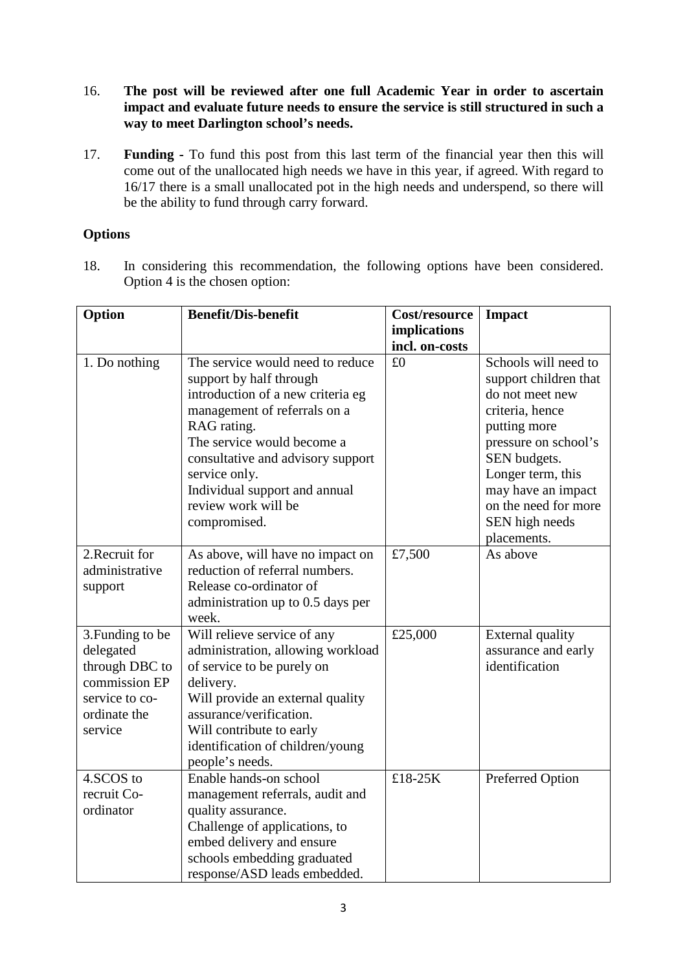- 16. **The post will be reviewed after one full Academic Year in order to ascertain impact and evaluate future needs to ensure the service is still structured in such a way to meet Darlington school's needs.**
- 17. **Funding -** To fund this post from this last term of the financial year then this will come out of the unallocated high needs we have in this year, if agreed. With regard to 16/17 there is a small unallocated pot in the high needs and underspend, so there will be the ability to fund through carry forward.

# **Options**

18. In considering this recommendation, the following options have been considered. Option 4 is the chosen option:

| Option                                                                                                        | <b>Benefit/Dis-benefit</b>                                                                                                                                                                                                                                                                  | Cost/resource        | <b>Impact</b>                                                                                                                                                                                                  |
|---------------------------------------------------------------------------------------------------------------|---------------------------------------------------------------------------------------------------------------------------------------------------------------------------------------------------------------------------------------------------------------------------------------------|----------------------|----------------------------------------------------------------------------------------------------------------------------------------------------------------------------------------------------------------|
|                                                                                                               |                                                                                                                                                                                                                                                                                             | implications         |                                                                                                                                                                                                                |
| 1. Do nothing                                                                                                 | The service would need to reduce<br>support by half through<br>introduction of a new criteria eg<br>management of referrals on a<br>RAG rating.<br>The service would become a<br>consultative and advisory support<br>service only.<br>Individual support and annual<br>review work will be | incl. on-costs<br>£0 | Schools will need to<br>support children that<br>do not meet new<br>criteria, hence<br>putting more<br>pressure on school's<br>SEN budgets.<br>Longer term, this<br>may have an impact<br>on the need for more |
|                                                                                                               | compromised.                                                                                                                                                                                                                                                                                |                      | SEN high needs<br>placements.                                                                                                                                                                                  |
| 2. Recruit for<br>administrative<br>support                                                                   | As above, will have no impact on<br>reduction of referral numbers.<br>Release co-ordinator of<br>administration up to 0.5 days per<br>week.                                                                                                                                                 | £7,500               | As above                                                                                                                                                                                                       |
| 3. Funding to be<br>delegated<br>through DBC to<br>commission EP<br>service to co-<br>ordinate the<br>service | Will relieve service of any<br>administration, allowing workload<br>of service to be purely on<br>delivery.<br>Will provide an external quality<br>assurance/verification.<br>Will contribute to early<br>identification of children/young<br>people's needs.                               | £25,000              | External quality<br>assurance and early<br>identification                                                                                                                                                      |
| 4.SCOS to<br>recruit Co-<br>ordinator                                                                         | Enable hands-on school<br>management referrals, audit and<br>quality assurance.<br>Challenge of applications, to<br>embed delivery and ensure<br>schools embedding graduated<br>response/ASD leads embedded.                                                                                | £18-25K              | Preferred Option                                                                                                                                                                                               |